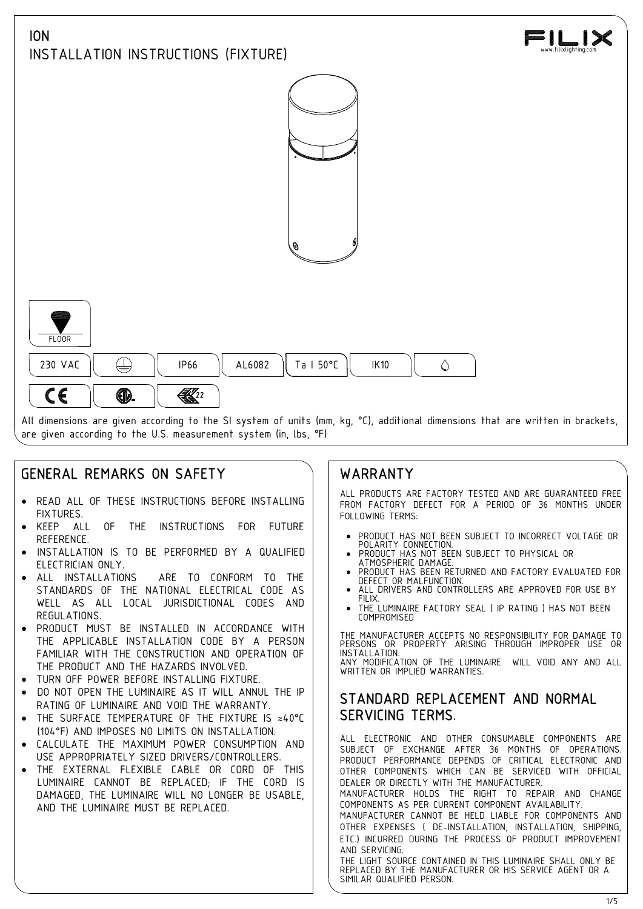

# GENERAL REMARKS ON SAFETY

- · READ ALL OF THESE INSTRUCTIONS BEFORE INSTALLING **FIXTURES**
- KEEP ALL OF THE INSTRUCTIONS FOR FUTURE REFERENCE.
- INSTALLATION IS TO BE PERFORMED BY A QUALIFIED | . PRODUCT HAS NOT BEEN SUBJECT TO PHYSICAL OR<br>FIFTTRICIAN ONLY ELECTRICIAN ONLY.
- ALL INSTALLATIONS ARE TO CONFORM TO THE | | PRODUCTIAS DELIVIERS STANDARDS OF THE NATIONAL ELECTRICAL CODE AS **ALL** WELL AS ALL LOCAL JURISDICTIONAL CODES AND REGULATIONS.
- PRODUCT MUST BE INSTALLED IN ACCORDANCE WITH THE APPLICABLE INSTALLATION CODE BY A PERSON FAMILIAR WITH THE CONSTRUCTION AND OPERATION OF THE PRODUCT AND THE HAZARDS INVOLVED.
- TURN OFF POWER BEFORE INSTALLING FIXTURE.
- DO NOT OPEN THE LUMINAIRE AS IT WILL ANNUL THE IP RATING OF LUMINAIRE AND VOID THE WARRANTY.
- THE SURFACE TEMPERATURE OF THE FIXTURE IS ≈40°C (104°F) AND IMPOSES NO LIMITS ON INSTALLATION.
- CALCULATE THE MAXIMUM POWER CONSUMPTION AND USE APPROPRIATELY SIZED DRIVERS/CONTROLLERS.
- · THE EXTERNAL FLEXIBLE CABLE OR CORD OF THIS LUMINAIRE CANNOT BE REPLACED; IF THE CORD IS DAMAGED, THE LUMINAIRE WILL NO LONGER BE USABLE, AND THE LUMINAIRE MUST BE REPLACED.

## WARRANTY

ALL PRODUCTS ARE FACTORY TESTED AND ARE GUARANTEED FREE FROM FACTORY DEFECT FOR A PERIOD OF 36 MONTHS UNDER FOLLOWING TERMS:

- · PRODUCT HAS NOT BEEN SUBJECT TO INCORRECT VOLTAGE OR POLARITY CONNECTION. · PRODUCT HAS NOT BEEN SUBJECT TO PHYSICAL OR
- 
- PRODUCT HAS BEEN RETURNED AND FACTORY EVALUATED FOR
- ALL DRIVERS AND CONTROLLERS ARE APPROVED FOR USE BY
- THE LUMINAIRE FACTORY SEAL ( IP RATING ) HAS NOT BEEN COMPROMISED

THE MANUFACTURER ACCEPTS NO RESPONSIBILITY FOR DAMAGE TO PERSONS OR PROPERTY ARISING THROUGH IMPROPER USE OR INSTALLATION. ANY MODIFICATION OF THE LUMINAIRE WILL VOID ANY AND ALL WRITTEN OR IMPLIED WARRANTIES.

### STANDARD REPLACEMENT AND NORMAL SERVICING TERMS.

ALL ELECTRONIC AND OTHER CONSUMABLE COMPONENTS ARE SUBJECT OF EXCHANGE AFTER 36 MONTHS OF OPERATIONS. PRODUCT PERFORMANCE DEPENDS OF CRITICAL ELECTRONIC AND OTHER COMPONENTS WHICH CAN BE SERVICED WITH OFFICIAL DEALER OR DIRECTLY WITH THE MANUFACTURER.

MANUFACTURER HOLDS THE RIGHT TO REPAIR AND CHANGE COMPONENTS AS PER CURRENT COMPONENT AVAILABILITY. MANUFACTURER CANNOT BE HELD LIABLE FOR COMPONENTS AND

OTHER EXPENSES ( DE-INSTALLATION, INSTALLATION, SHIPPING, ETC.) INCURRED DURING THE PROCESS OF PRODUCT IMPROVEMENT AND SERVICING.

THE LIGHT SOURCE CONTAINED IN THIS LUMINAIRE SHALL ONLY BE REPLACED BY THE MANUFACTURER OR HIS SERVICE AGENT OR A SIMILAR QUALIFIED PERSON.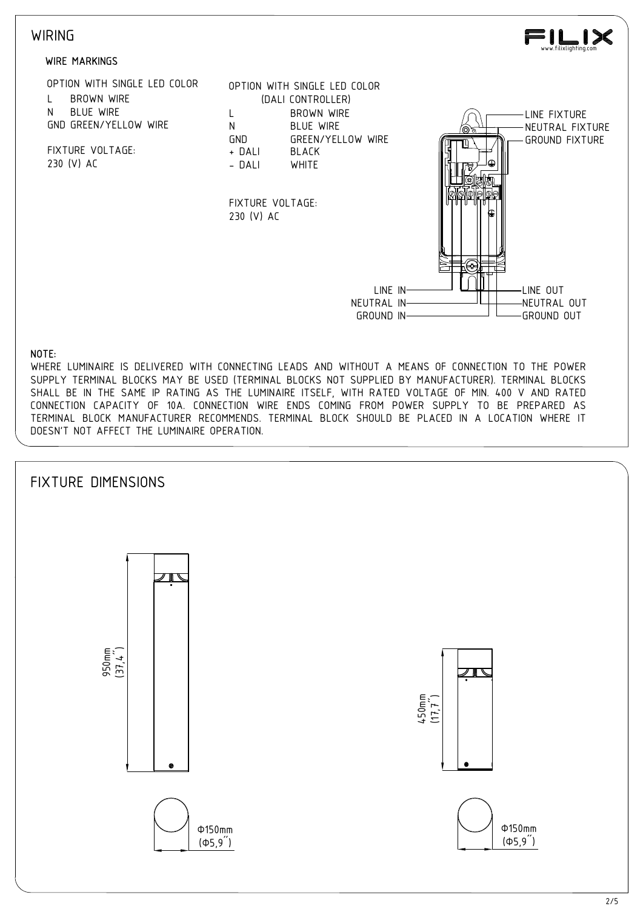### **WIRING**



FIXTURE VOLTAGE:

OPTION WITH SINGLE LED COLOR





FIXTURE VOLTAGE: 230 (V) AC



#### NOTE:

WHERE LUMINAIRE IS DELIVERED WITH CONNECTING LEADS AND WITHOUT A MEANS OF CONNECTION TO THE POWER SUPPLY TERMINAL BLOCKS MAY BE USED (TERMINAL BLOCKS NOT SUPPLIED BY MANUFACTURER). TERMINAL BLOCKS SHALL BE IN THE SAME IP RATING AS THE LUMINAIRE ITSELF, WITH RATED VOLTAGE OF MIN. 400 V AND RATED CONNECTION CAPACITY OF 10A. CONNECTION WIRE ENDS COMING FROM POWER SUPPLY TO BE PREPARED AS TERMINAL BLOCK MANUFACTURER RECOMMENDS. TERMINAL BLOCK SHOULD BE PLACED IN A LOCATION WHERE IT DOESN'T NOT AFFECT THE LUMINAIRE OPERATION.

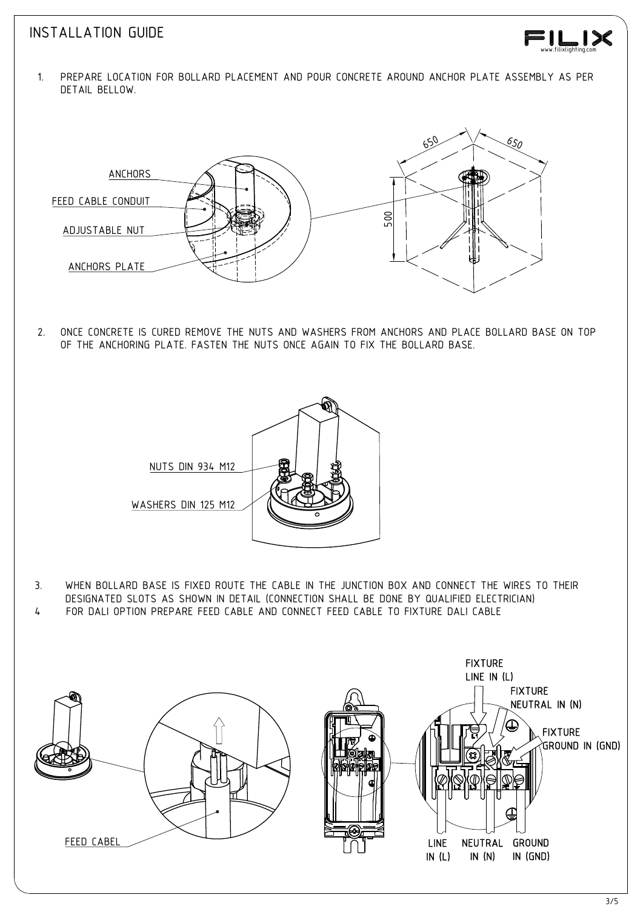### INSTALLATION GUIDE

- www.filixlighting.com
- DETAIL BELLOW.



OF THE ANCHORING PLATE. FASTEN THE NUTS ONCE AGAIN TO FIX THE BOLLARD BASE.



DESIGNATED SLOTS AS SHOWN IN DETAIL (CONNECTION SHALL BE DONE BY QUALIFIED ELECTRICIAN)<br>FOR DALI OPTION PREPARE FEED CABLE AND CONNECT FEED CABLE TO FIXTURE DALI CABLE

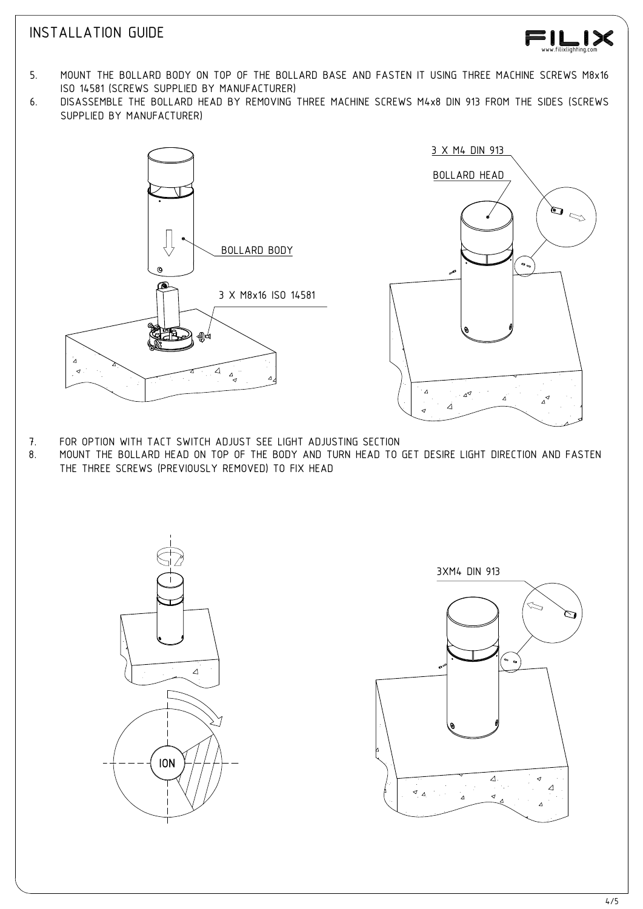## INSTALLATION GUIDE



- 5. MOUNT THE BOLLARD BODY ON TOP OF THE BOLLARD BASE AND FASTEN IT USING THREE MACHINE SCREWS M8x16 ISO 14581 (SCREWS SUPPLIED BY MANUFACTURER)
- 6. DISASSEMBLE THE BOLLARD HEAD BY REMOVING THREE MACHINE SCREWS M4x8 DIN 913 FROM THE SIDES (SCREWS SUPPLIED BY MANUFACTURER)





- 
- THE THREE SCREWS (PREVIOUSLY REMOVED) TO FIX HEAD



3XM4 DIN 913